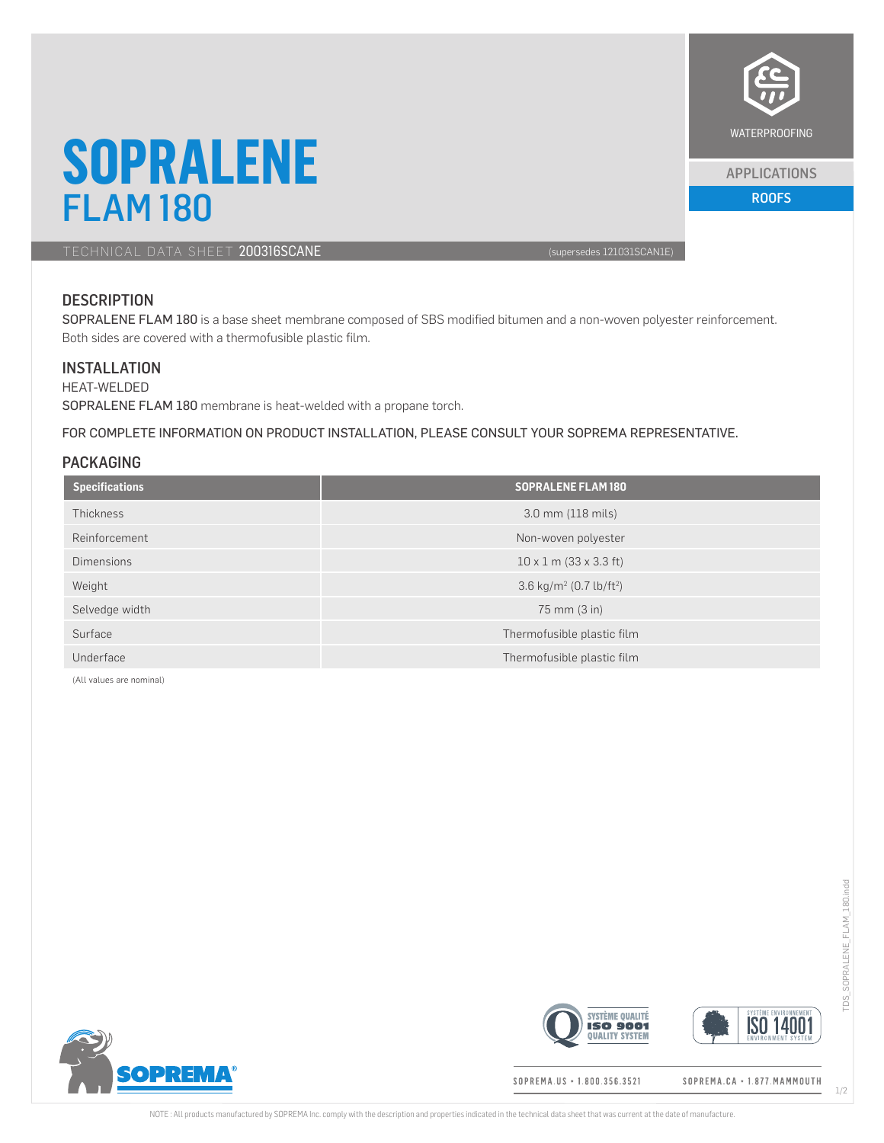

#### APPLICATIONS

# **SOPRALENE** FLAM 180 ROOFS AND RESIDENCE THE RESIDENCE OF THE RESIDENCE OF THE RESIDENCE OF THE RESIDENCE OF THE RESIDENCE

TECHNICAL DATA SHEET 200316SCANE (supersedes 121031SCAN1E)

## **DESCRIPTION**

SOPRALENE FLAM 180 is a base sheet membrane composed of SBS modified bitumen and a non-woven polyester reinforcement. Both sides are covered with a thermofusible plastic film.

#### **INSTALLATION**

HEAT-WELDED SOPRALENE FLAM 180 membrane is heat-welded with a propane torch.

FOR COMPLETE INFORMATION ON PRODUCT INSTALLATION, PLEASE CONSULT YOUR SOPREMA REPRESENTATIVE.

### PACKAGING

| <b>Specifications</b> | <b>SOPRALENE FLAM180</b>                        |  |
|-----------------------|-------------------------------------------------|--|
| Thickness             | 3.0 mm (118 mils)                               |  |
| Reinforcement         | Non-woven polyester                             |  |
| <b>Dimensions</b>     | $10 \times 1$ m (33 x 3.3 ft)                   |  |
| Weight                | 3.6 kg/m <sup>2</sup> (0.7 lb/ft <sup>2</sup> ) |  |
| Selvedge width        | 75 mm (3 in)                                    |  |
| Surface               | Thermofusible plastic film                      |  |
| Underface             | Thermofusible plastic film                      |  |

(All values are nominal)

**OPREMA®** 





1/2

SOPREMA.US • 1.800.356.3521

SOPREMA.CA · 1.877.MAMMOUTH